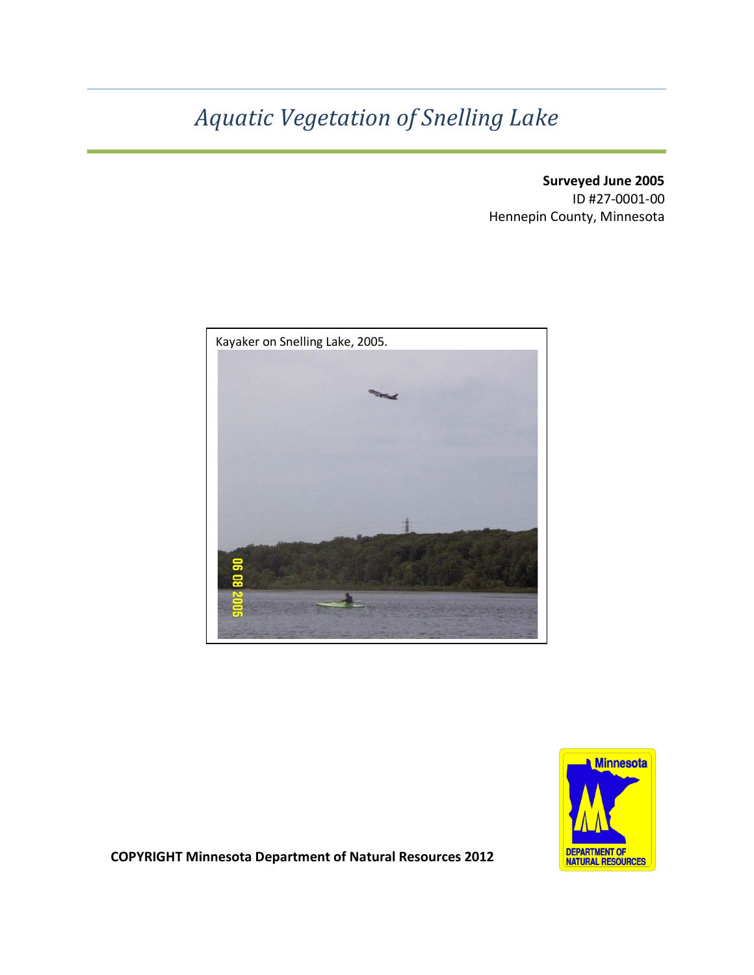# *Aquatic Vegetation of Snelling Lake*

**Surveyed June 2005** ID #27-0001-00 Hennepin County, Minnesota





**COPYRIGHT Minnesota Department of Natural Resources 2012**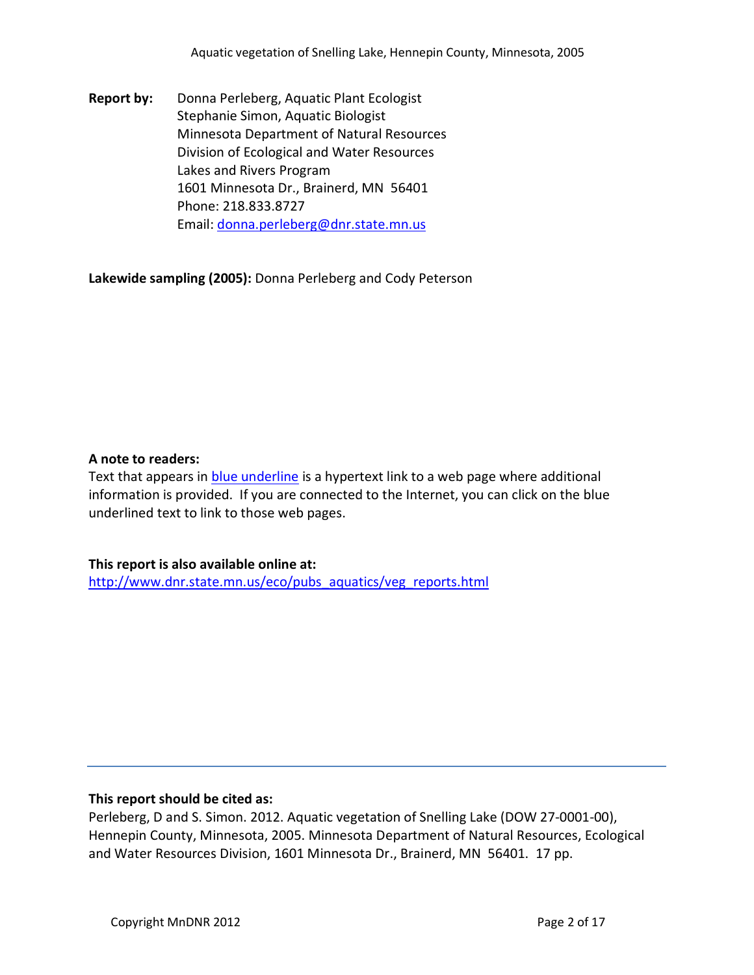**Report by:** Donna Perleberg, Aquatic Plant Ecologist Stephanie Simon, Aquatic Biologist Minnesota Department of Natural Resources Division of Ecological and Water Resources Lakes and Rivers Program 1601 Minnesota Dr., Brainerd, MN 56401 Phone: 218.833.8727 Email: [donna.perleberg@dnr.state.mn.us](mailto:donna.perleberg@dnr.state.mn.us)

**Lakewide sampling (2005):** Donna Perleberg and Cody Peterson

#### **A note to readers:**

Text that appears in blue underline is a hypertext link to a web page where additional information is provided. If you are connected to the Internet, you can click on the blue underlined text to link to those web pages.

## **This report is also available online at:**

[http://www.dnr.state.mn.us/eco/pubs\\_aquatics/veg\\_reports.html](http://www.dnr.state.mn.us/eco/pubs_aquatics/veg_reports.html)

#### **This report should be cited as:**

Perleberg, D and S. Simon. 2012. Aquatic vegetation of Snelling Lake (DOW 27-0001-00), Hennepin County, Minnesota, 2005. Minnesota Department of Natural Resources, Ecological and Water Resources Division, 1601 Minnesota Dr., Brainerd, MN 56401. 17 pp.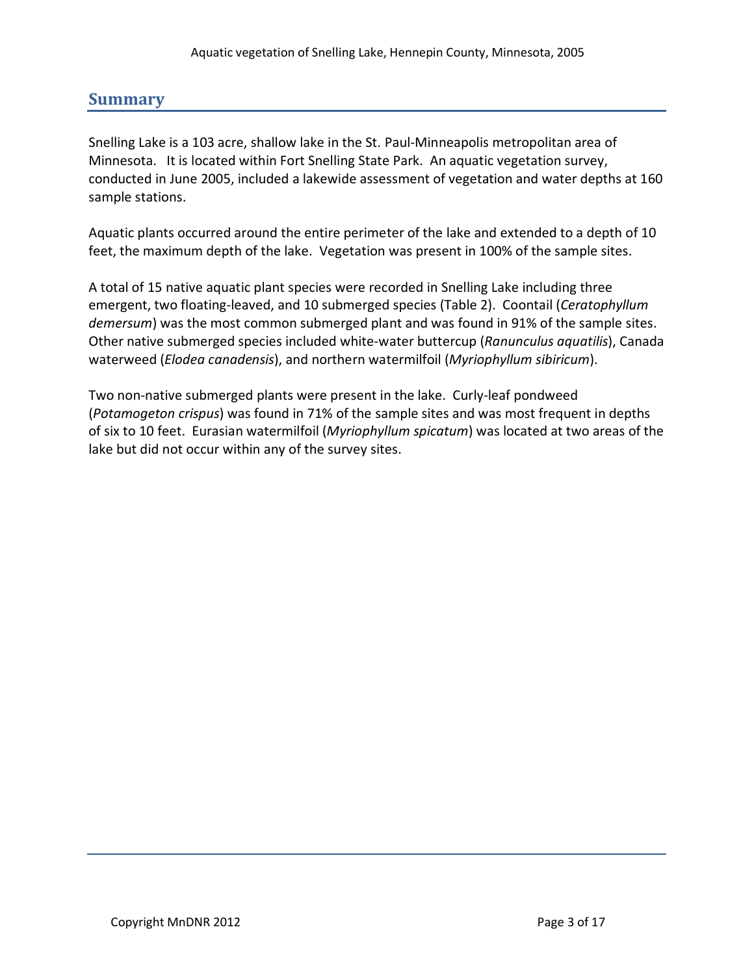# **Summary**

Snelling Lake is a 103 acre, shallow lake in the St. Paul-Minneapolis metropolitan area of Minnesota. It is located within Fort Snelling State Park. An aquatic vegetation survey, conducted in June 2005, included a lakewide assessment of vegetation and water depths at 160 sample stations.

Aquatic plants occurred around the entire perimeter of the lake and extended to a depth of 10 feet, the maximum depth of the lake. Vegetation was present in 100% of the sample sites.

A total of 15 native aquatic plant species were recorded in Snelling Lake including three emergent, two floating-leaved, and 10 submerged species (Table 2). Coontail (*Ceratophyllum demersum*) was the most common submerged plant and was found in 91% of the sample sites. Other native submerged species included white-water buttercup (*Ranunculus aquatilis*), Canada waterweed (*Elodea canadensis*), and northern watermilfoil (*Myriophyllum sibiricum*).

Two non-native submerged plants were present in the lake. Curly-leaf pondweed (*Potamogeton crispus*) was found in 71% of the sample sites and was most frequent in depths of six to 10 feet. Eurasian watermilfoil (*Myriophyllum spicatum*) was located at two areas of the lake but did not occur within any of the survey sites.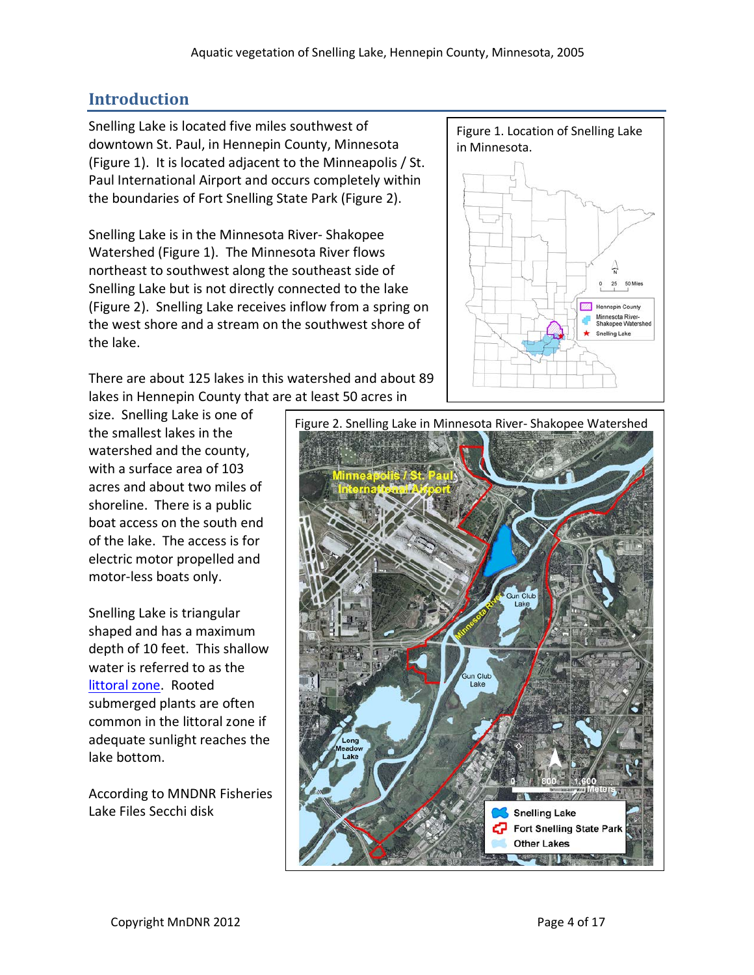# **Introduction**

Snelling Lake is located five miles southwest of downtown St. Paul, in Hennepin County, Minnesota (Figure 1). It is located adjacent to the Minneapolis / St. Paul International Airport and occurs completely within the boundaries of Fort Snelling State Park (Figure 2).

Snelling Lake is in the Minnesota River- Shakopee Watershed (Figure 1). The Minnesota River flows northeast to southwest along the southeast side of Snelling Lake but is not directly connected to the lake (Figure 2). Snelling Lake receives inflow from a spring on the west shore and a stream on the southwest shore of the lake.

There are about 125 lakes in this watershed and about 89 lakes in Hennepin County that are at least 50 acres in

size. Snelling Lake is one of the smallest lakes in the watershed and the county, with a surface area of 103 acres and about two miles of shoreline. There is a public boat access on the south end of the lake. The access is for electric motor propelled and motor-less boats only.

Snelling Lake is triangular shaped and has a maximum depth of 10 feet. This shallow water is referred to as the [littoral zone.](http://www.dnr.state.mn.us/shorelandmgmt/apg/wheregrow.html) Rooted submerged plants are often common in the littoral zone if adequate sunlight reaches the lake bottom.

According to MNDNR Fisheries Lake Files Secchi disk

Figure 1. Location of Snelling Lake in Minnesota.



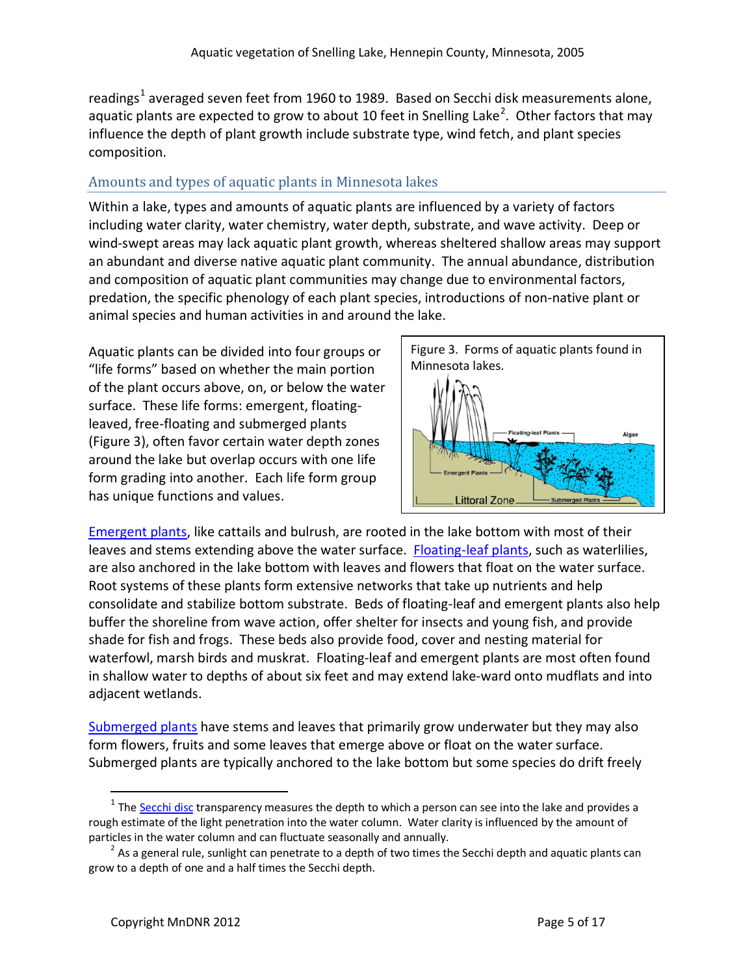readings<sup>[1](#page-4-0)</sup> averaged seven feet from 1960 to 1989. Based on Secchi disk measurements alone, aquatic plants are expected to grow to about 10 feet in Snelling Lake<sup>[2](#page-4-1)</sup>. Other factors that may influence the depth of plant growth include substrate type, wind fetch, and plant species composition.

## Amounts and types of aquatic plants in Minnesota lakes

Within a lake, types and amounts of aquatic plants are influenced by a variety of factors including water clarity, water chemistry, water depth, substrate, and wave activity. Deep or wind-swept areas may lack aquatic plant growth, whereas sheltered shallow areas may support an abundant and diverse native aquatic plant community. The annual abundance, distribution and composition of aquatic plant communities may change due to environmental factors, predation, the specific phenology of each plant species, introductions of non-native plant or animal species and human activities in and around the lake.

Aquatic plants can be divided into four groups or "life forms" based on whether the main portion of the plant occurs above, on, or below the water surface. These life forms: emergent, floatingleaved, free-floating and submerged plants (Figure 3), often favor certain water depth zones around the lake but overlap occurs with one life form grading into another. Each life form group has unique functions and values.



[Emergent plants,](http://www.dnr.state.mn.us/aquatic_plants/emergent_plants/index.html) like cattails and bulrush, are rooted in the lake bottom with most of their leaves and stems extending above the water surface. [Floating-leaf plants,](http://www.dnr.state.mn.us/aquatic_plants/floatingleaf_plants/index.html) such as waterlilies, are also anchored in the lake bottom with leaves and flowers that float on the water surface. Root systems of these plants form extensive networks that take up nutrients and help consolidate and stabilize bottom substrate. Beds of floating-leaf and emergent plants also help buffer the shoreline from wave action, offer shelter for insects and young fish, and provide shade for fish and frogs. These beds also provide food, cover and nesting material for waterfowl, marsh birds and muskrat. Floating-leaf and emergent plants are most often found in shallow water to depths of about six feet and may extend lake-ward onto mudflats and into adjacent wetlands.

[Submerged plants](http://www.dnr.state.mn.us/aquatic_plants/submerged_plants/index.html) have stems and leaves that primarily grow underwater but they may also form flowers, fruits and some leaves that emerge above or float on the water surface. Submerged plants are typically anchored to the lake bottom but some species do drift freely

<span id="page-4-0"></span> $1$  Th[e Secchi disc](http://www.pca.state.mn.us/water/secchi-slideshow.html) transparency measures the depth to which a person can see into the lake and provides a rough estimate of the light penetration into the water column. Water clarity is influenced by the amount of particles in the water column and can fluctuate seasonally and annually.

<span id="page-4-1"></span> $2$  As a general rule, sunlight can penetrate to a depth of two times the Secchi depth and aquatic plants can grow to a depth of one and a half times the Secchi depth.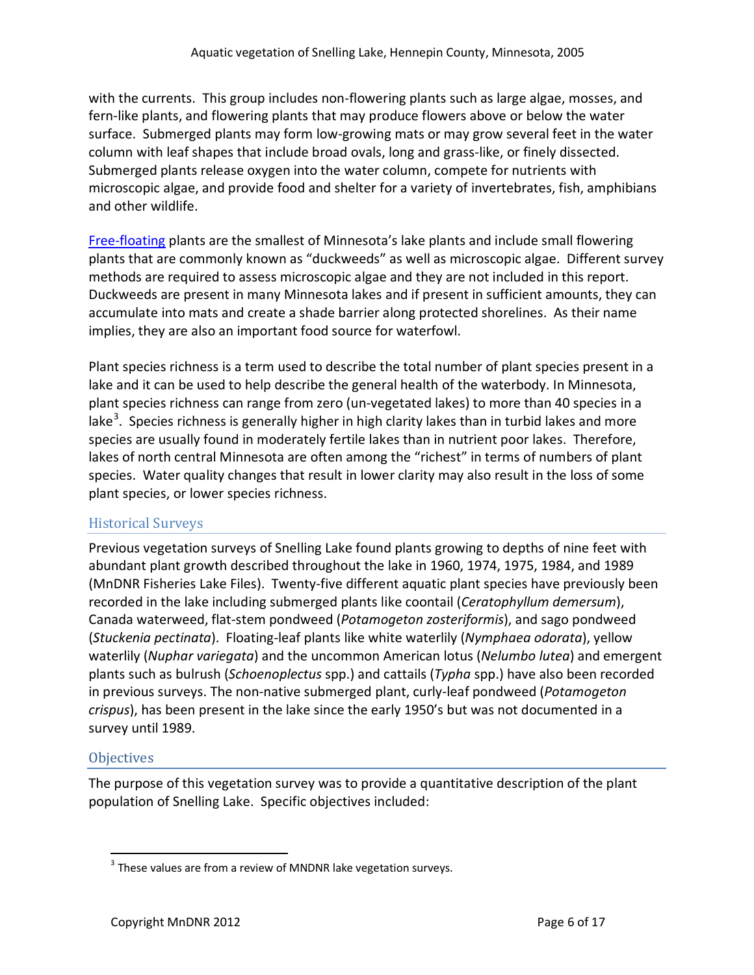with the currents. This group includes non-flowering plants such as large algae, mosses, and fern-like plants, and flowering plants that may produce flowers above or below the water surface. Submerged plants may form low-growing mats or may grow several feet in the water column with leaf shapes that include broad ovals, long and grass-like, or finely dissected. Submerged plants release oxygen into the water column, compete for nutrients with microscopic algae, and provide food and shelter for a variety of invertebrates, fish, amphibians and other wildlife.

[Free-floating](http://www.dnr.state.mn.us/aquatic_plants/floatingleaf_plants/duckweeds.html) plants are the smallest of Minnesota's lake plants and include small flowering plants that are commonly known as "duckweeds" as well as microscopic algae. Different survey methods are required to assess microscopic algae and they are not included in this report. Duckweeds are present in many Minnesota lakes and if present in sufficient amounts, they can accumulate into mats and create a shade barrier along protected shorelines. As their name implies, they are also an important food source for waterfowl.

Plant species richness is a term used to describe the total number of plant species present in a lake and it can be used to help describe the general health of the waterbody. In Minnesota, plant species richness can range from zero (un-vegetated lakes) to more than 40 species in a lake<sup>[3](#page-5-0)</sup>. Species richness is generally higher in high clarity lakes than in turbid lakes and more species are usually found in moderately fertile lakes than in nutrient poor lakes. Therefore, lakes of north central Minnesota are often among the "richest" in terms of numbers of plant species. Water quality changes that result in lower clarity may also result in the loss of some plant species, or lower species richness.

## Historical Surveys

Previous vegetation surveys of Snelling Lake found plants growing to depths of nine feet with abundant plant growth described throughout the lake in 1960, 1974, 1975, 1984, and 1989 (MnDNR Fisheries Lake Files). Twenty-five different aquatic plant species have previously been recorded in the lake including submerged plants like coontail (*Ceratophyllum demersum*), Canada waterweed, flat-stem pondweed (*Potamogeton zosteriformis*), and sago pondweed (*Stuckenia pectinata*). Floating-leaf plants like white waterlily (*Nymphaea odorata*), yellow waterlily (*Nuphar variegata*) and the uncommon American lotus (*Nelumbo lutea*) and emergent plants such as bulrush (*Schoenoplectus* spp.) and cattails (*Typha* spp.) have also been recorded in previous surveys. The non-native submerged plant, curly-leaf pondweed (*Potamogeton crispus*), has been present in the lake since the early 1950's but was not documented in a survey until 1989.

# **Objectives**

The purpose of this vegetation survey was to provide a quantitative description of the plant population of Snelling Lake. Specific objectives included:

<span id="page-5-0"></span> $3$  These values are from a review of MNDNR lake vegetation surveys.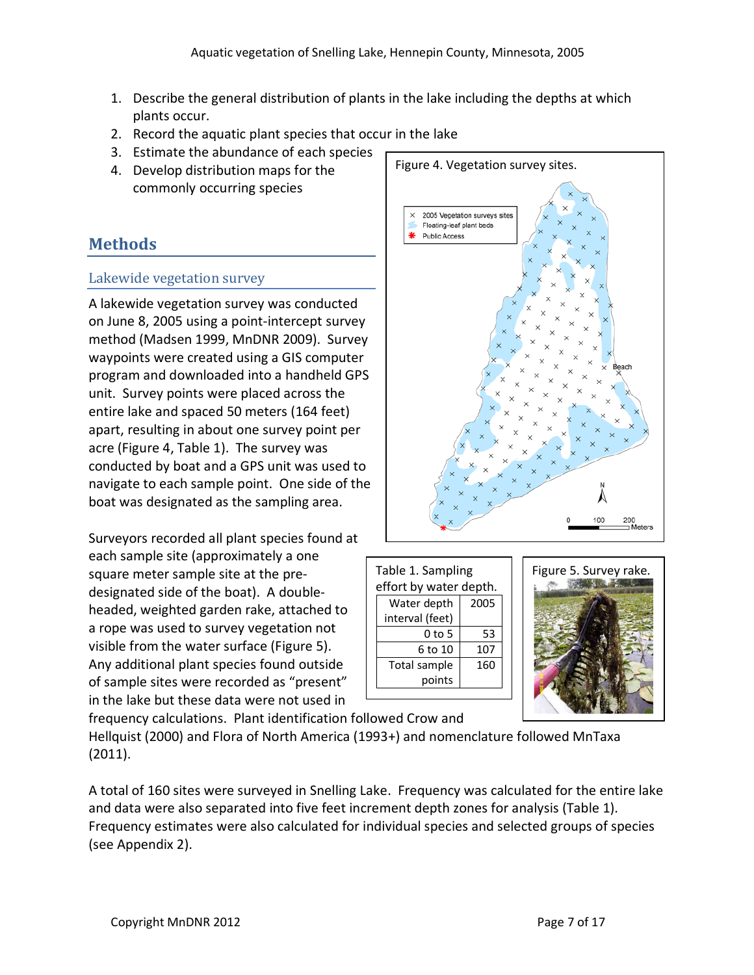- 1. Describe the general distribution of plants in the lake including the depths at which plants occur.
- 2. Record the aquatic plant species that occur in the lake
- 3. Estimate the abundance of each species
- 4. Develop distribution maps for the commonly occurring species

# **Methods**

#### Lakewide vegetation survey

A lakewide vegetation survey was conducted on June 8, 2005 using a point-intercept survey method (Madsen 1999, MnDNR 2009). Survey waypoints were created using a GIS computer program and downloaded into a handheld GPS unit. Survey points were placed across the entire lake and spaced 50 meters (164 feet) apart, resulting in about one survey point per acre (Figure 4, Table 1). The survey was conducted by boat and a GPS unit was used to navigate to each sample point. One side of the boat was designated as the sampling area.

Surveyors recorded all plant species found at each sample site (approximately a one square meter sample site at the predesignated side of the boat). A doubleheaded, weighted garden rake, attached to a rope was used to survey vegetation not visible from the water surface (Figure 5). Any additional plant species found outside of sample sites were recorded as "present" in the lake but these data were not used in



| Table 1. Sampling      |                 |      |  |  |  |  |  |  |  |
|------------------------|-----------------|------|--|--|--|--|--|--|--|
| effort by water depth. |                 |      |  |  |  |  |  |  |  |
|                        | Water depth     | 2005 |  |  |  |  |  |  |  |
|                        | interval (feet) |      |  |  |  |  |  |  |  |
|                        | 0 to 5          | 53   |  |  |  |  |  |  |  |
|                        | 6 to 10         | 107  |  |  |  |  |  |  |  |
|                        | Total sample    | 160  |  |  |  |  |  |  |  |
| points                 |                 |      |  |  |  |  |  |  |  |
|                        |                 |      |  |  |  |  |  |  |  |
|                        |                 |      |  |  |  |  |  |  |  |



frequency calculations. Plant identification followed Crow and Hellquist (2000) and Flora of North America (1993+) and nomenclature followed MnTaxa (2011).

A total of 160 sites were surveyed in Snelling Lake. Frequency was calculated for the entire lake and data were also separated into five feet increment depth zones for analysis (Table 1). Frequency estimates were also calculated for individual species and selected groups of species (see Appendix 2).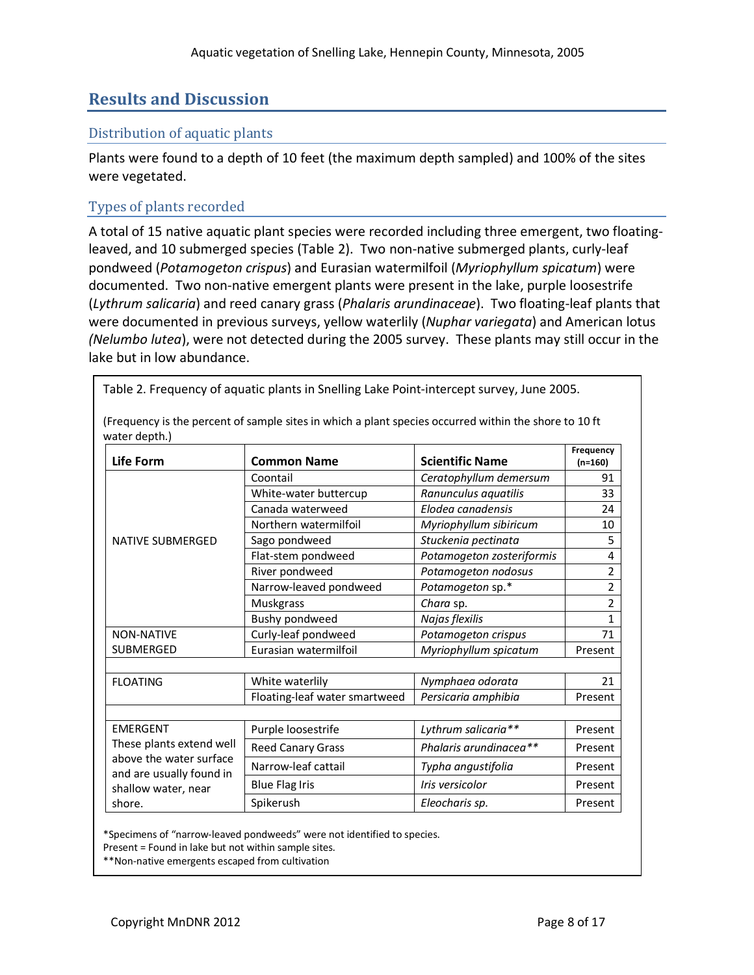# **Results and Discussion**

#### Distribution of aquatic plants

Plants were found to a depth of 10 feet (the maximum depth sampled) and 100% of the sites were vegetated.

#### Types of plants recorded

A total of 15 native aquatic plant species were recorded including three emergent, two floatingleaved, and 10 submerged species (Table 2). Two non-native submerged plants, curly-leaf pondweed (*Potamogeton crispus*) and Eurasian watermilfoil (*Myriophyllum spicatum*) were documented. Two non-native emergent plants were present in the lake, purple loosestrife (*Lythrum salicaria*) and reed canary grass (*Phalaris arundinaceae*). Two floating-leaf plants that were documented in previous surveys, yellow waterlily (*Nuphar variegata*) and American lotus *(Nelumbo lutea*), were not detected during the 2005 survey. These plants may still occur in the lake but in low abundance.

(Frequency is the percent of sample sites in which a plant species occurred within the shore to 10 ft water depth.) **Life Form Common Name Scientific Name Frequency (n=160)** NATIVE SUBMERGED Coontail *Ceratophyllum demersum* 91 White-water buttercup *Ranunculus aquatilis* 33 Canada waterweed *Elodea canadensis* 24 Northern watermilfoil *Myriophyllum sibiricum* 10 Sago pondweed *Stuckenia pectinata* 5 Flat-stem pondweed *Potamogeton zosteriformis* 4 River pondweed *Potamogeton nodosus* 2 Narrow-leaved pondweed *Potamogeton* sp.\* 2 Muskgrass *Chara* sp. 2 Bushy pondweed *Najas flexilis* 1 NON-NATIVE SUBMERGED Curly-leaf pondweed *Potamogeton crispus* 71 Eurasian watermilfoil *Myriophyllum spicatum* Present FLOATING White waterlily *Nymphaea odorata* 21 Floating-leaf water smartweed | Persicaria amphibia | Present EMERGENT These plants extend well above the water surface and are usually found in shallow water, near shore. Purple loosestrife *Lythrum salicaria*\*\* Present Reed Canary Grass **Reed Canary Grass Phalaris arundinacea\*\*** Present Narrow-leaf cattail *Typha angustifolia* Present Blue Flag Iris **Internal Iris versicolor** Present Spikerush **Eleocharis sp.** Present

Table 2. Frequency of aquatic plants in Snelling Lake Point-intercept survey, June 2005.

\*Specimens of "narrow-leaved pondweeds" were not identified to species.

Present = Found in lake but not within sample sites.

\*\*Non-native emergents escaped from cultivation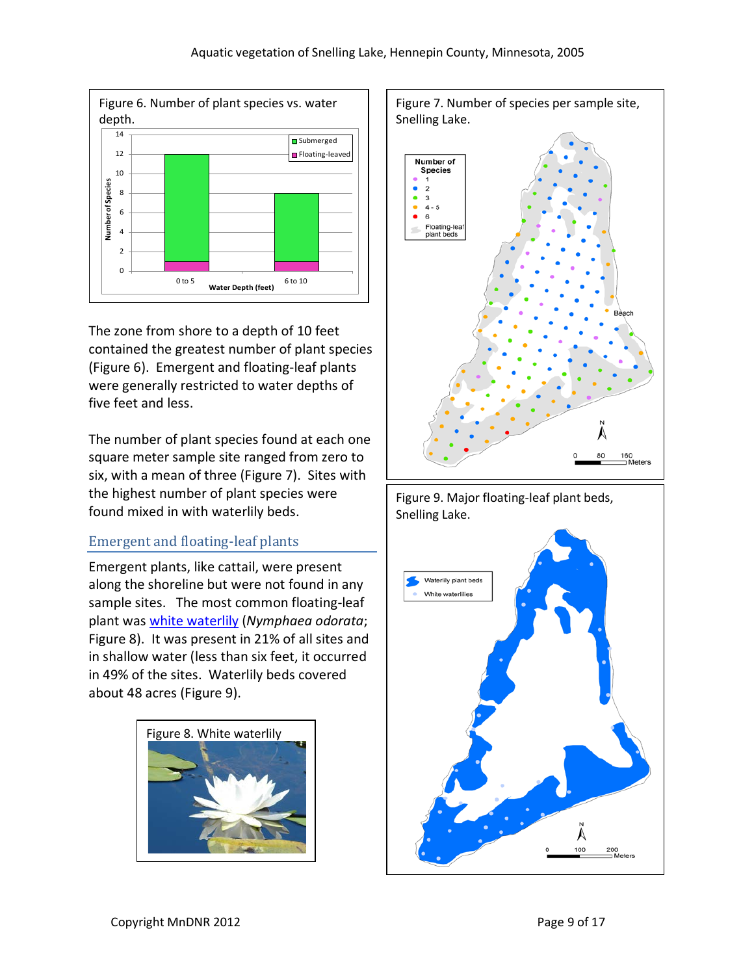

The zone from shore to a depth of 10 feet contained the greatest number of plant species (Figure 6). Emergent and floating-leaf plants were generally restricted to water depths of five feet and less.

The number of plant species found at each one square meter sample site ranged from zero to six, with a mean of three (Figure 7). Sites with the highest number of plant species were found mixed in with waterlily beds.

# Emergent and floating-leaf plants

Emergent plants, like cattail, were present along the shoreline but were not found in any sample sites. The most common floating-leaf plant was [white waterlily](http://www.dnr.state.mn.us/aquatic_plants/floatingleaf_plants/white_water_lily.html) (*Nymphaea odorata*; Figure 8). It was present in 21% of all sites and in shallow water (less than six feet, it occurred in 49% of the sites. Waterlily beds covered about 48 acres (Figure 9).







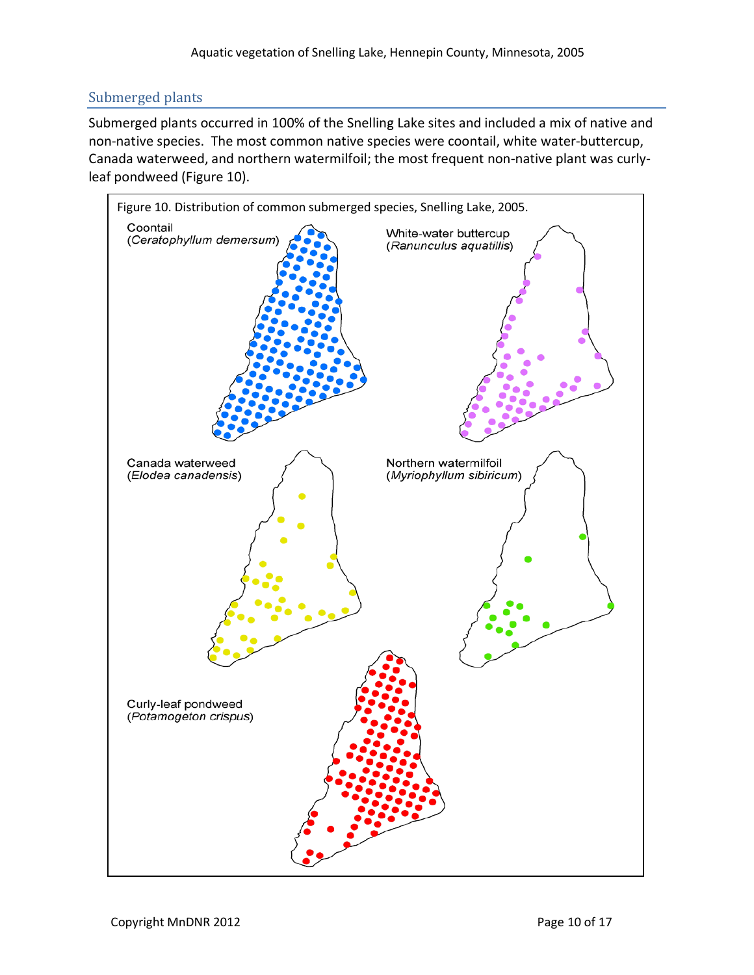## Submerged plants

Submerged plants occurred in 100% of the Snelling Lake sites and included a mix of native and non-native species. The most common native species were coontail, white water-buttercup, Canada waterweed, and northern watermilfoil; the most frequent non-native plant was curlyleaf pondweed (Figure 10).

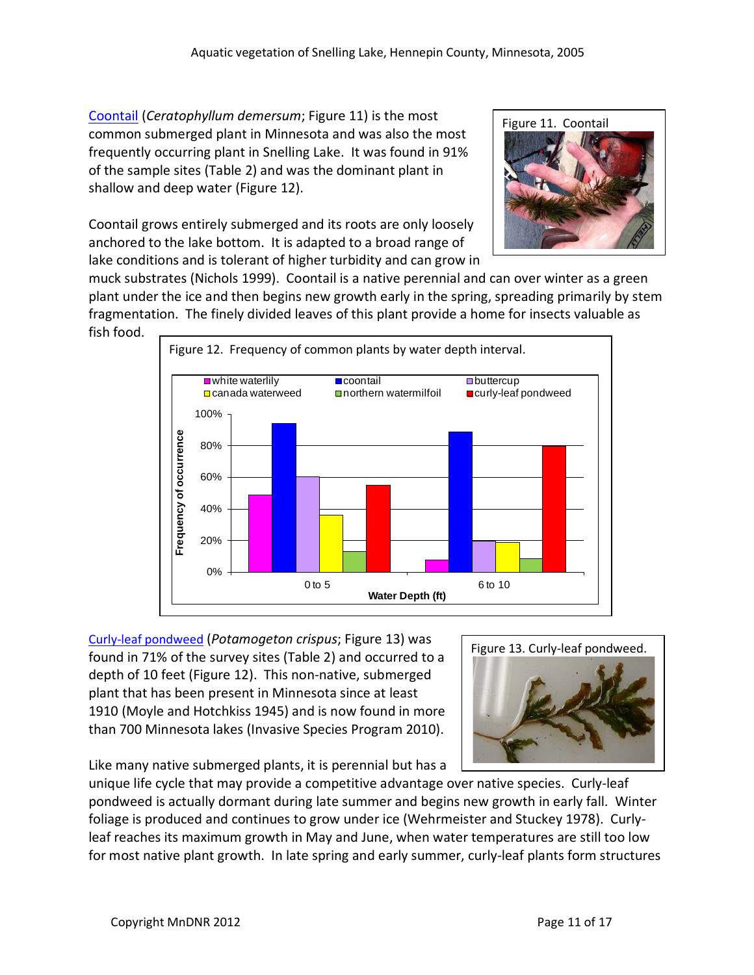[Coontail](http://www.dnr.state.mn.us/aquatic_plants/submerged_plants/coontail.html) (*Ceratophyllum demersum*; Figure 11) is the most common submerged plant in Minnesota and was also the most frequently occurring plant in Snelling Lake. It was found in 91% of the sample sites (Table 2) and was the dominant plant in shallow and deep water (Figure 12).

Coontail grows entirely submerged and its roots are only loosely anchored to the lake bottom. It is adapted to a broad range of lake conditions and is tolerant of higher turbidity and can grow in

muck substrates (Nichols 1999). Coontail is a native perennial and can over winter as a green plant under the ice and then begins new growth early in the spring, spreading primarily by stem fragmentation. The finely divided leaves of this plant provide a home for insects valuable as fish food.



[Curly-leaf pondweed](http://www.dnr.state.mn.us/aquatic_plants/submerged_plants/curlyleaf_pondweed.html) (*Potamogeton crispus*; Figure 13) was found in 71% of the survey sites (Table 2) and occurred to a depth of 10 feet (Figure 12). This non-native, submerged plant that has been present in Minnesota since at least 1910 (Moyle and Hotchkiss 1945) and is now found in more than 700 Minnesota lakes (Invasive Species Program 2010).



Figure 11. Coontail

Like many native submerged plants, it is perennial but has a

unique life cycle that may provide a competitive advantage over native species. Curly-leaf pondweed is actually dormant during late summer and begins new growth in early fall. Winter foliage is produced and continues to grow under ice (Wehrmeister and Stuckey 1978). Curlyleaf reaches its maximum growth in May and June, when water temperatures are still too low for most native plant growth. In late spring and early summer, curly-leaf plants form structures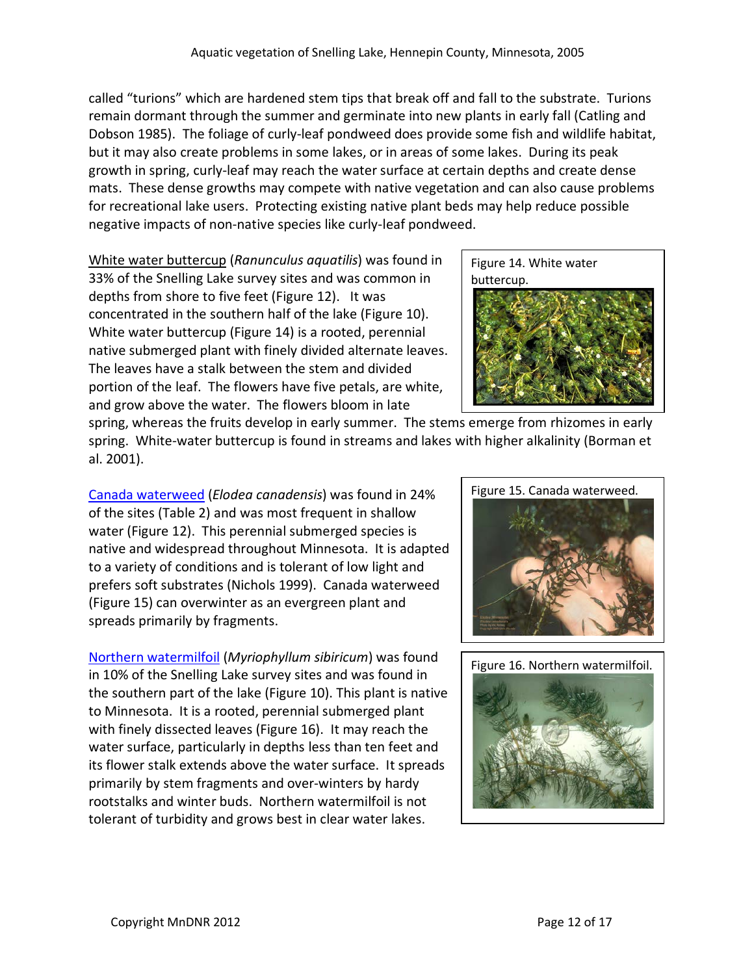called "turions" which are hardened stem tips that break off and fall to the substrate. Turions remain dormant through the summer and germinate into new plants in early fall (Catling and Dobson 1985). The foliage of curly-leaf pondweed does provide some fish and wildlife habitat, but it may also create problems in some lakes, or in areas of some lakes. During its peak growth in spring, curly-leaf may reach the water surface at certain depths and create dense mats. These dense growths may compete with native vegetation and can also cause problems for recreational lake users. Protecting existing native plant beds may help reduce possible negative impacts of non-native species like curly-leaf pondweed.

White water buttercup (*Ranunculus aquatilis*) was found in 33% of the Snelling Lake survey sites and was common in depths from shore to five feet (Figure 12). It was concentrated in the southern half of the lake (Figure 10). White water buttercup (Figure 14) is a rooted, perennial native submerged plant with finely divided alternate leaves. The leaves have a stalk between the stem and divided portion of the leaf. The flowers have five petals, are white, and grow above the water. The flowers bloom in late

Figure 14. White water buttercup.

spring, whereas the fruits develop in early summer. The stems emerge from rhizomes in early spring. White-water buttercup is found in streams and lakes with higher alkalinity (Borman et al. 2001).

[Canada waterweed](http://www.dnr.state.mn.us/aquatic_plants/submerged_plants/canada_waterweed.html) (*Elodea canadensis*) was found in 24% of the sites (Table 2) and was most frequent in shallow water (Figure 12). This perennial submerged species is native and widespread throughout Minnesota. It is adapted to a variety of conditions and is tolerant of low light and prefers soft substrates (Nichols 1999). Canada waterweed (Figure 15) can overwinter as an evergreen plant and spreads primarily by fragments.

[Northern watermilfoil](http://www.dnr.state.mn.us/aquatic_plants/submerged_plants/northern_watermilfoil.html) (*Myriophyllum sibiricum*) was found in 10% of the Snelling Lake survey sites and was found in the southern part of the lake (Figure 10). This plant is native to Minnesota. It is a rooted, perennial submerged plant with finely dissected leaves (Figure 16). It may reach the water surface, particularly in depths less than ten feet and its flower stalk extends above the water surface. It spreads primarily by stem fragments and over-winters by hardy rootstalks and winter buds. Northern watermilfoil is not tolerant of turbidity and grows best in clear water lakes.



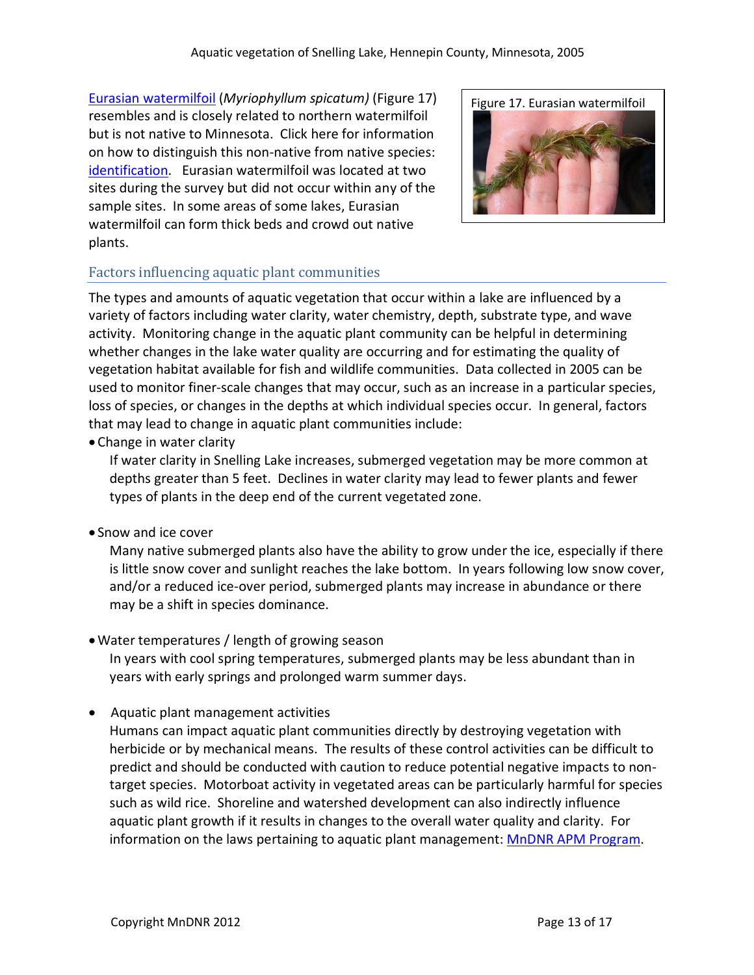[Eurasian watermilfoil](http://www.dnr.state.mn.us/invasives/aquaticplants/milfoil/index.html) (*Myriophyllum spicatum)* (Figure 17) resembles and is closely related to northern watermilfoil but is not native to Minnesota. Click here for information on how to distinguish this non-native from native species: [identification.](http://files.dnr.state.mn.us/natural_resources/invasives/aquaticplants/milfoil/idcard.pdf) Eurasian watermilfoil was located at two sites during the survey but did not occur within any of the sample sites. In some areas of some lakes, Eurasian watermilfoil can form thick beds and crowd out native plants.



## Factors influencing aquatic plant communities

The types and amounts of aquatic vegetation that occur within a lake are influenced by a variety of factors including water clarity, water chemistry, depth, substrate type, and wave activity. Monitoring change in the aquatic plant community can be helpful in determining whether changes in the lake water quality are occurring and for estimating the quality of vegetation habitat available for fish and wildlife communities. Data collected in 2005 can be used to monitor finer-scale changes that may occur, such as an increase in a particular species, loss of species, or changes in the depths at which individual species occur. In general, factors that may lead to change in aquatic plant communities include:

• Change in water clarity

If water clarity in Snelling Lake increases, submerged vegetation may be more common at depths greater than 5 feet. Declines in water clarity may lead to fewer plants and fewer types of plants in the deep end of the current vegetated zone.

• Snow and ice cover

Many native submerged plants also have the ability to grow under the ice, especially if there is little snow cover and sunlight reaches the lake bottom. In years following low snow cover, and/or a reduced ice-over period, submerged plants may increase in abundance or there may be a shift in species dominance.

•Water temperatures / length of growing season

In years with cool spring temperatures, submerged plants may be less abundant than in years with early springs and prolonged warm summer days.

• Aquatic plant management activities

Humans can impact aquatic plant communities directly by destroying vegetation with herbicide or by mechanical means. The results of these control activities can be difficult to predict and should be conducted with caution to reduce potential negative impacts to nontarget species. Motorboat activity in vegetated areas can be particularly harmful for species such as wild rice. Shoreline and watershed development can also indirectly influence aquatic plant growth if it results in changes to the overall water quality and clarity. For information on the laws pertaining to aquatic plant management[: MnDNR APM Program.](http://www.dnr.state.mn.us/ecological_services/apm/index.html)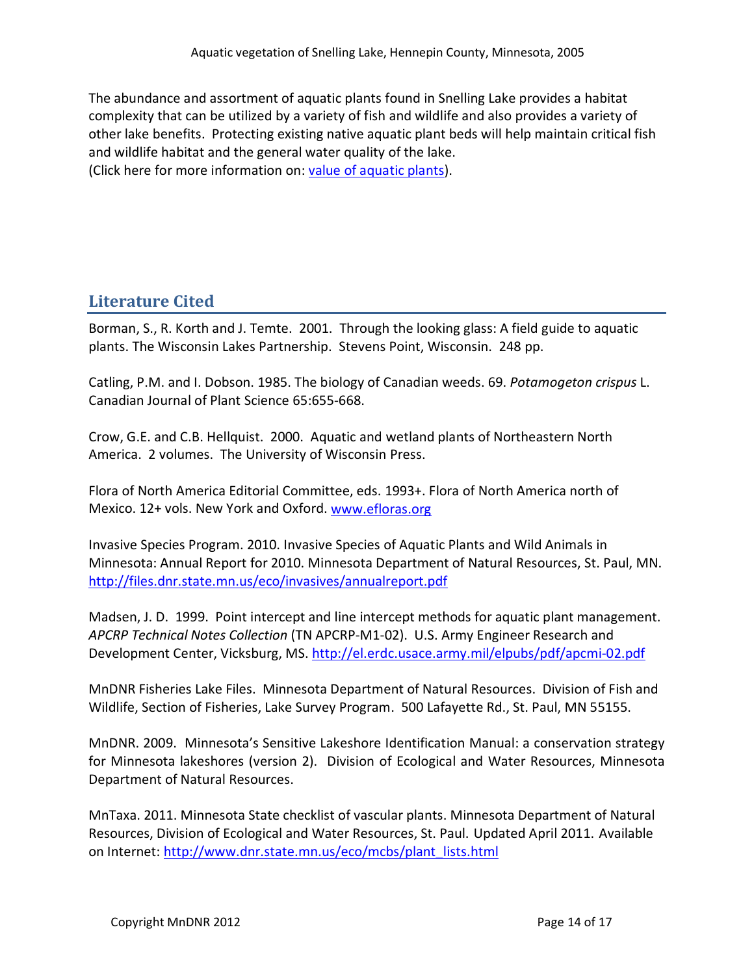The abundance and assortment of aquatic plants found in Snelling Lake provides a habitat complexity that can be utilized by a variety of fish and wildlife and also provides a variety of other lake benefits. Protecting existing native aquatic plant beds will help maintain critical fish and wildlife habitat and the general water quality of the lake. (Click here for more information on: [value of aquatic plants\)](http://www.dnr.state.mn.us/shorelandmgmt/apg/value.html).

**Literature Cited**

Borman, S., R. Korth and J. Temte. 2001. Through the looking glass: A field guide to aquatic plants. The Wisconsin Lakes Partnership. Stevens Point, Wisconsin. 248 pp.

Catling, P.M. and I. Dobson. 1985. The biology of Canadian weeds. 69. *Potamogeton crispus* L. Canadian Journal of Plant Science 65:655-668.

Crow, G.E. and C.B. Hellquist. 2000. Aquatic and wetland plants of Northeastern North America. 2 volumes. The University of Wisconsin Press.

Flora of North America Editorial Committee, eds. 1993+. Flora of North America north of Mexico. 12+ vols. New York and Oxford. [www.efloras.org](http://www.efloras.org/)

Invasive Species Program. 2010. Invasive Species of Aquatic Plants and Wild Animals in Minnesota: Annual Report for 2010. Minnesota Department of Natural Resources, St. Paul, MN. <http://files.dnr.state.mn.us/eco/invasives/annualreport.pdf>

Madsen, J. D. 1999. Point intercept and line intercept methods for aquatic plant management. *APCRP Technical Notes Collection* (TN APCRP-M1-02). U.S. Army Engineer Research and Development Center, Vicksburg, MS.<http://el.erdc.usace.army.mil/elpubs/pdf/apcmi-02.pdf>

MnDNR Fisheries Lake Files. Minnesota Department of Natural Resources. Division of Fish and Wildlife, Section of Fisheries, Lake Survey Program. 500 Lafayette Rd., St. Paul, MN 55155.

MnDNR. 2009. Minnesota's Sensitive Lakeshore Identification Manual: a conservation strategy for Minnesota lakeshores (version 2). Division of Ecological and Water Resources, Minnesota Department of Natural Resources.

MnTaxa. 2011. Minnesota State checklist of vascular plants. Minnesota Department of Natural Resources, Division of Ecological and Water Resources, St. Paul. Updated April 2011. Available on Internet: [http://www.dnr.state.mn.us/eco/mcbs/plant\\_lists.html](http://www.dnr.state.mn.us/eco/mcbs/plant_lists.html)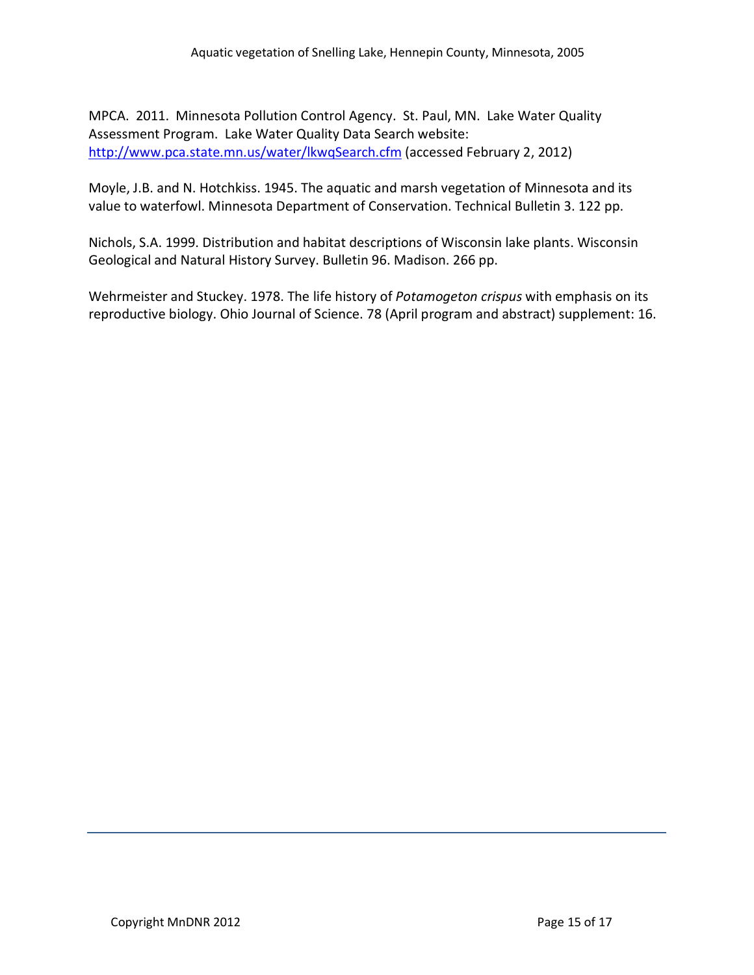MPCA. 2011. Minnesota Pollution Control Agency. St. Paul, MN. Lake Water Quality Assessment Program. Lake Water Quality Data Search website: [http://www.pca.state.mn.us/water/lkwqSearch.cfm](http://www.pca.state.mn.us/water/clmp/clmpSearch.cfm) (accessed February 2, 2012)

Moyle, J.B. and N. Hotchkiss. 1945. The aquatic and marsh vegetation of Minnesota and its value to waterfowl. Minnesota Department of Conservation. Technical Bulletin 3. 122 pp.

Nichols, S.A. 1999. Distribution and habitat descriptions of Wisconsin lake plants. Wisconsin Geological and Natural History Survey. Bulletin 96. Madison. 266 pp.

Wehrmeister and Stuckey. 1978. The life history of *Potamogeton crispus* with emphasis on its reproductive biology. Ohio Journal of Science. 78 (April program and abstract) supplement: 16.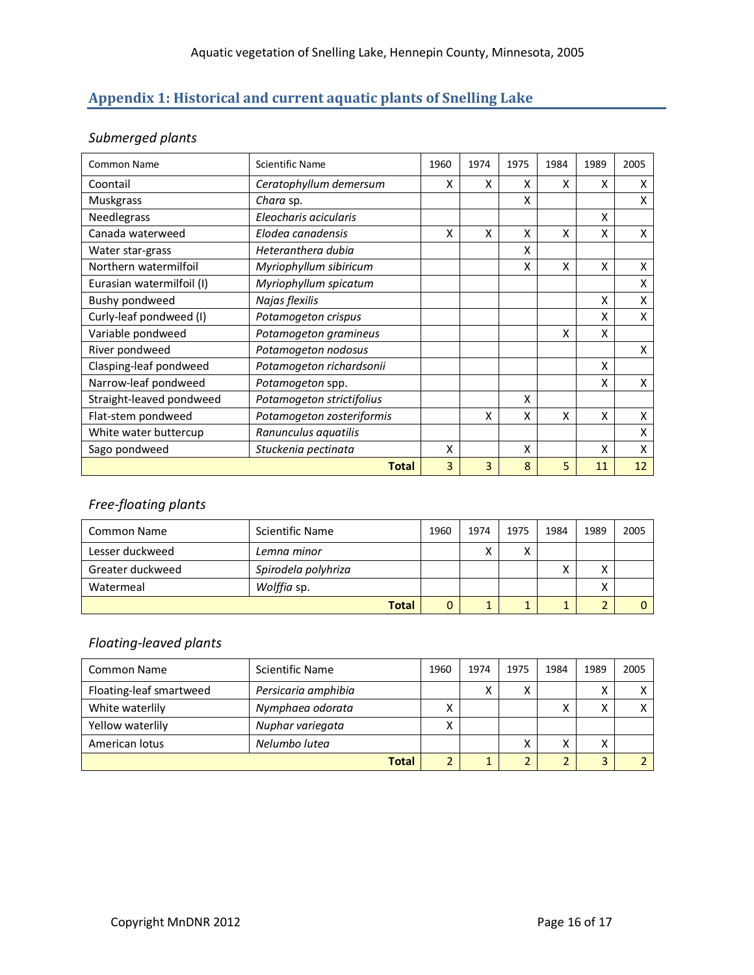# **Appendix 1: Historical and current aquatic plants of Snelling Lake**

## *Submerged plants*

| <b>Common Name</b>        | <b>Scientific Name</b>    | 1960 | 1974 | 1975 | 1984 | 1989 | 2005 |
|---------------------------|---------------------------|------|------|------|------|------|------|
| Coontail                  | Ceratophyllum demersum    | x    | x    | x    | X    | x    | X    |
| <b>Muskgrass</b>          | Chara sp.                 |      |      | x    |      |      | х    |
| Needlegrass               | Eleocharis acicularis     |      |      |      |      | X    |      |
| Canada waterweed          | Elodea canadensis         | x    | X    | X    | X    | x    | X    |
| Water star-grass          | Heteranthera dubia        |      |      | x    |      |      |      |
| Northern watermilfoil     | Myriophyllum sibiricum    |      |      | x    | X    | X    | X    |
| Eurasian watermilfoil (I) | Myriophyllum spicatum     |      |      |      |      |      | x    |
| Bushy pondweed            | Najas flexilis            |      |      |      |      | X    | X    |
| Curly-leaf pondweed (I)   | Potamogeton crispus       |      |      |      |      | x    | x    |
| Variable pondweed         | Potamogeton gramineus     |      |      |      | X    | X    |      |
| River pondweed            | Potamogeton nodosus       |      |      |      |      |      | X    |
| Clasping-leaf pondweed    | Potamogeton richardsonii  |      |      |      |      | X    |      |
| Narrow-leaf pondweed      | Potamogeton spp.          |      |      |      |      | x    | X    |
| Straight-leaved pondweed  | Potamogeton strictifolius |      |      | X    |      |      |      |
| Flat-stem pondweed        | Potamogeton zosteriformis |      | Χ    | X    | X    | Χ    | Χ    |
| White water buttercup     | Ranunculus aquatilis      |      |      |      |      |      | Χ    |
| Sago pondweed             | Stuckenia pectinata       | X    |      | X    |      | X    | x    |
|                           | <b>Total</b>              | 3    | 3    | 8    | 5    | 11   | 12   |

# *Free-floating plants*

| <b>Common Name</b> | Scientific Name     | 1960 | 1974 | 1975         | 1984 | 1989   | 2005 |
|--------------------|---------------------|------|------|--------------|------|--------|------|
| Lesser duckweed    | Lemna minor         |      |      | $\checkmark$ |      |        |      |
| Greater duckweed   | Spirodela polyhriza |      |      |              |      | Χ      |      |
| Watermeal          | Wolffia sp.         |      |      |              |      | v<br>∧ |      |
|                    | <b>Total</b>        |      |      |              |      |        |      |

# *Floating-leaved plants*

| Common Name             | Scientific Name     | 1960      | 1974 | 1975           | 1984 | 1989         | 2005 |
|-------------------------|---------------------|-----------|------|----------------|------|--------------|------|
| Floating-leaf smartweed | Persicaria amphibia |           | ↗    | $\checkmark$   |      | $\checkmark$ |      |
| White waterlily         | Nymphaea odorata    | Λ         |      |                |      | v            |      |
| Yellow waterlily        | Nuphar variegata    | $\lambda$ |      |                |      |              |      |
| American lotus          | Nelumbo lutea       |           |      | v              | v    | x            |      |
|                         | <b>Total</b>        | 2         |      | $\overline{2}$ |      | 3            |      |